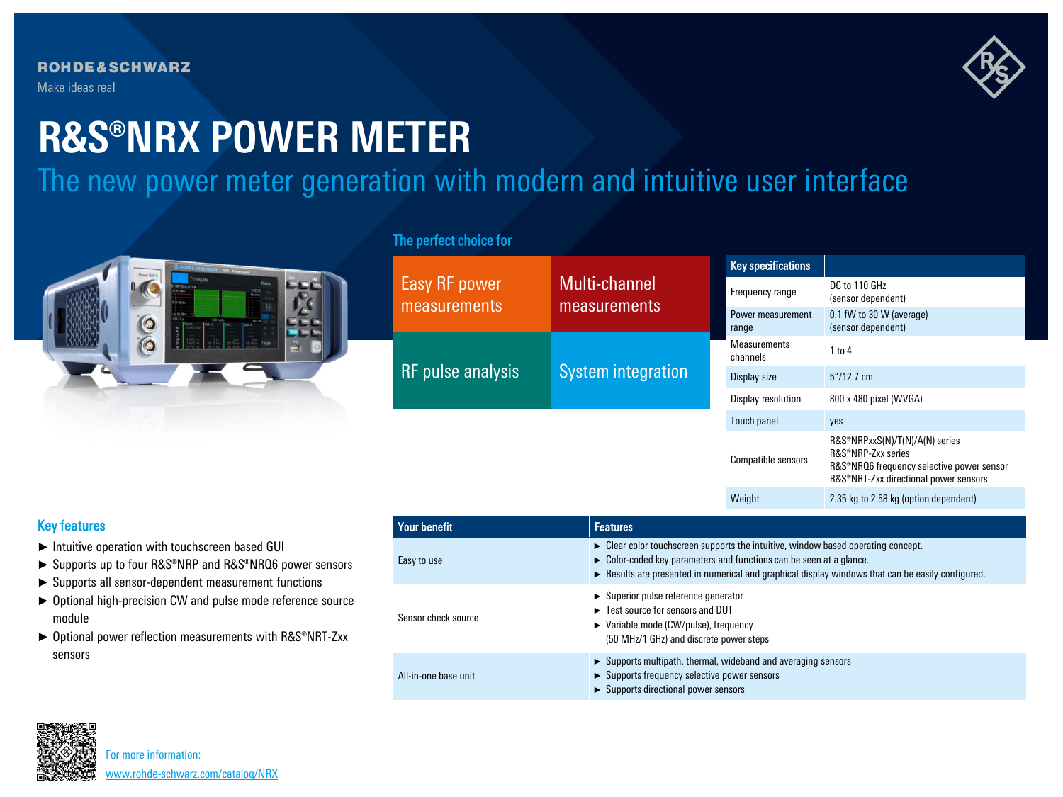

# **R&S®NRX POWER METER**

The new power meter generation with modern and intuitive user interface



# The perfect choice for

|                               | Multi-channel<br>measurements | <b>Key specifications</b>       |                                                                                                                                            |
|-------------------------------|-------------------------------|---------------------------------|--------------------------------------------------------------------------------------------------------------------------------------------|
| Easy RF power<br>measurements |                               | Frequency range                 | DC to 110 GHz<br>(sensor dependent)                                                                                                        |
|                               |                               | Power measurement<br>range      | 0.1 fW to 30 W (average)<br>(sensor dependent)                                                                                             |
| RF pulse analysis             | <b>System integration</b>     | <b>Measurements</b><br>channels | $1$ to $4$                                                                                                                                 |
|                               |                               | Display size                    | $5''/12.7$ cm                                                                                                                              |
|                               |                               | Display resolution              | 800 x 480 pixel (WVGA)                                                                                                                     |
|                               |                               | <b>Touch panel</b>              | yes                                                                                                                                        |
|                               |                               | Compatible sensors              | R&S®NRPxxS(N)/T(N)/A(N) series<br>R&S®NRP-Zxx series<br>R&S®NRQ6 frequency selective power sensor<br>R&S®NRT-Zxx directional power sensors |
|                               |                               | Weight                          | 2.35 kg to 2.58 kg (option dependent)                                                                                                      |
|                               |                               |                                 |                                                                                                                                            |

## Key features

- ► Intuitive operation with touchscreen based GUI
- ► Supports up to four R&S®NRP and R&S®NRQ6 power sensors
- ► Supports all sensor-dependent measurement functions
- ► Optional high-precision CW and pulse mode reference source module
- ► Optional power reflection measurements with R&S®NRT-Zxx sensors

| <b>Your benefit</b>  | <b>Features</b>                                                                                                                                                                                                                                                                                            |
|----------------------|------------------------------------------------------------------------------------------------------------------------------------------------------------------------------------------------------------------------------------------------------------------------------------------------------------|
| Easy to use          | $\triangleright$ Clear color touchscreen supports the intuitive, window based operating concept.<br>$\triangleright$ Color-coded key parameters and functions can be seen at a glance.<br>$\triangleright$ Results are presented in numerical and graphical display windows that can be easily configured. |
| Sensor check source  | $\triangleright$ Superior pulse reference generator<br>Ext source for sensors and DUT<br>$\triangleright$ Variable mode (CW/pulse), frequency<br>(50 MHz/1 GHz) and discrete power steps                                                                                                                   |
| All-in-one base unit | $\triangleright$ Supports multipath, thermal, wideband and averaging sensors<br>► Supports frequency selective power sensors<br>$\triangleright$ Supports directional power sensors                                                                                                                        |